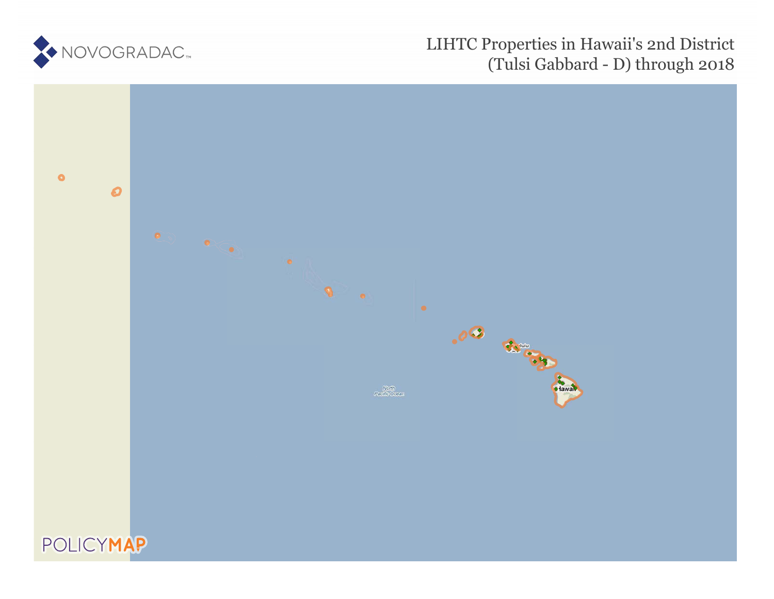

# LIHTC Properties in Hawaii's 2nd District (Tulsi Gabbard - D) through 2018

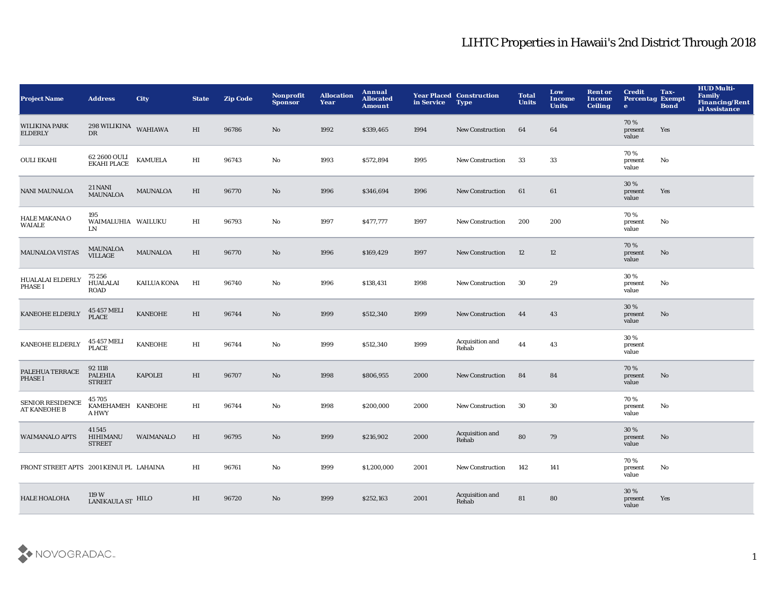| <b>Project Name</b>                            | <b>Address</b>                              | <b>City</b>        | <b>State</b> | <b>Zip Code</b> | <b>Nonprofit</b><br><b>Sponsor</b> | <b>Allocation</b><br>Year | Annual<br><b>Allocated</b><br><b>Amount</b> | in Service | <b>Year Placed Construction</b><br><b>Type</b> | <b>Total</b><br><b>Units</b> | Low<br><b>Income</b><br><b>Units</b> | <b>Rent or</b><br>Income<br><b>Ceiling</b> | <b>Credit</b><br><b>Percentag Exempt</b><br>$\mathbf{e}$ | Tax-<br><b>Bond</b> | <b>HUD Multi-</b><br>Family<br>Financing/Rent<br>al Assistance |
|------------------------------------------------|---------------------------------------------|--------------------|--------------|-----------------|------------------------------------|---------------------------|---------------------------------------------|------------|------------------------------------------------|------------------------------|--------------------------------------|--------------------------------------------|----------------------------------------------------------|---------------------|----------------------------------------------------------------|
| <b>WILIKINA PARK</b><br><b>ELDERLY</b>         | $298\,\rm WILIKINA$ WAHIAWA<br><b>DR</b>    |                    | HI           | 96786           | $\mathbf{N}\mathbf{o}$             | 1992                      | \$339,465                                   | 1994       | <b>New Construction</b>                        | 64                           | 64                                   |                                            | 70%<br>present<br>value                                  | Yes                 |                                                                |
| <b>OULI EKAHI</b>                              | 62 2600 OULI<br>EKAHI PLACE                 | <b>KAMUELA</b>     | $_{\rm HI}$  | 96743           | $\rm No$                           | 1993                      | \$572,894                                   | 1995       | New Construction                               | 33                           | 33                                   |                                            | 70%<br>present<br>value                                  | No                  |                                                                |
| <b>NANI MAUNALOA</b>                           | 21 NANI<br>MAUNALOA                         | <b>MAUNALOA</b>    | $_{\rm HI}$  | 96770           | No                                 | 1996                      | \$346,694                                   | 1996       | <b>New Construction</b>                        | 61                           | 61                                   |                                            | 30 %<br>present<br>value                                 | Yes                 |                                                                |
| HALE MAKANA O<br><b>WAIALE</b>                 | 195<br>WAIMALUHIA WAILUKU<br>LN             |                    | $_{\rm HI}$  | 96793           | No                                 | 1997                      | \$477,777                                   | 1997       | New Construction                               | 200                          | 200                                  |                                            | 70%<br>present<br>value                                  | No                  |                                                                |
| <b>MAUNALOA VISTAS</b>                         | MAUNALOA<br><b>VILLAGE</b>                  | <b>MAUNALOA</b>    | $_{\rm HI}$  | 96770           | No                                 | 1996                      | \$169,429                                   | 1997       | <b>New Construction</b>                        | 12                           | 12                                   |                                            | 70%<br>present<br>value                                  | No                  |                                                                |
| HUALALAI ELDERLY<br><b>PHASE I</b>             | 75 256<br><b>HUALALAI</b><br><b>ROAD</b>    | <b>KAILUA KONA</b> | HI           | 96740           | No                                 | 1996                      | \$138,431                                   | 1998       | <b>New Construction</b>                        | 30                           | 29                                   |                                            | 30%<br>present<br>value                                  | No                  |                                                                |
| <b>KANEOHE ELDERLY</b>                         | 45 457 MELI<br><b>PLACE</b>                 | <b>KANEOHE</b>     | HI           | 96744           | No                                 | 1999                      | \$512,340                                   | 1999       | <b>New Construction</b>                        | 44                           | 43                                   |                                            | 30%<br>present<br>value                                  | No                  |                                                                |
| KANEOHE ELDERLY                                | 45 457 MELI<br><b>PLACE</b>                 | <b>KANEOHE</b>     | $_{\rm HI}$  | 96744           | No                                 | 1999                      | \$512,340                                   | 1999       | Acquisition and<br>Rehab                       | 44                           | 43                                   |                                            | 30%<br>present<br>value                                  |                     |                                                                |
| PALEHUA TERRACE<br><b>PHASE I</b>              | 92 1118<br><b>PALEHIA</b><br><b>STREET</b>  | <b>KAPOLEI</b>     | $_{\rm HI}$  | 96707           | $\mathbf{N}\mathbf{o}$             | 1998                      | \$806,955                                   | 2000       | <b>New Construction</b>                        | 84                           | 84                                   |                                            | 70%<br>present<br>value                                  | No                  |                                                                |
| <b>SENIOR RESIDENCE</b><br><b>AT KANEOHE B</b> | 45 705<br>KAMEHAMEH KANEOHE<br><b>A HWY</b> |                    | $_{\rm HI}$  | 96744           | No                                 | 1998                      | \$200,000                                   | 2000       | New Construction                               | 30                           | 30                                   |                                            | 70%<br>present<br>value                                  | No                  |                                                                |
| <b>WAIMANALO APTS</b>                          | 41545<br>HIHIMANU<br><b>STREET</b>          | WAIMANALO          | $_{\rm HI}$  | 96795           | No                                 | 1999                      | \$216,902                                   | 2000       | Acquisition and<br>Rehab                       | 80                           | 79                                   |                                            | 30 %<br>present<br>value                                 | No                  |                                                                |
| FRONT STREET APTS 2001 KENUI PL LAHAINA        |                                             |                    | HI           | 96761           | No                                 | 1999                      | \$1,200,000                                 | 2001       | <b>New Construction</b>                        | 142                          | 141                                  |                                            | 70%<br>present<br>value                                  | No                  |                                                                |
| <b>HALE HOALOHA</b>                            | $^{119\,\rm{W}}_{\rm{LANIKAULA\,ST}}$ HILO  |                    | HI           | 96720           | No                                 | 1999                      | \$252,163                                   | 2001       | Acquisition and<br>Rehab                       | 81                           | 80                                   |                                            | 30%<br>present<br>value                                  | Yes                 |                                                                |

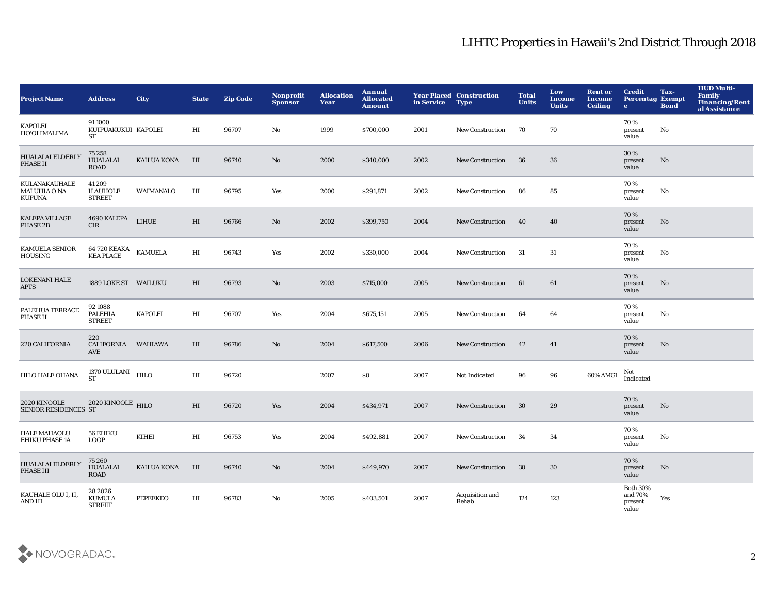| <b>Project Name</b>                                   | <b>Address</b>                             | <b>City</b>        | <b>State</b>               | <b>Zip Code</b> | <b>Nonprofit</b><br><b>Sponsor</b> | <b>Allocation</b><br>Year | Annual<br><b>Allocated</b><br><b>Amount</b> | in Service | <b>Year Placed Construction</b><br><b>Type</b> | <b>Total</b><br><b>Units</b> | Low<br><b>Income</b><br><b>Units</b> | <b>Rent or</b><br><b>Income</b><br><b>Ceiling</b> | <b>Credit</b><br><b>Percentag Exempt</b><br>$\bullet$ | Tax-<br><b>Bond</b> | <b>HUD Multi-</b><br>Family<br>Financing/Rent<br>al Assistance |
|-------------------------------------------------------|--------------------------------------------|--------------------|----------------------------|-----------------|------------------------------------|---------------------------|---------------------------------------------|------------|------------------------------------------------|------------------------------|--------------------------------------|---------------------------------------------------|-------------------------------------------------------|---------------------|----------------------------------------------------------------|
| <b>KAPOLEI</b><br>HO'OLIMALIMA                        | 911000<br>KUIPUAKUKUI KAPOLEI<br><b>ST</b> |                    | HI                         | 96707           | No                                 | 1999                      | \$700,000                                   | 2001       | New Construction                               | 70                           | 70                                   |                                                   | 70%<br>present<br>value                               | No                  |                                                                |
| <b>HUALALAI ELDERLY</b><br>PHASE II                   | 75 258<br><b>HUALALAI</b><br><b>ROAD</b>   | <b>KAILUA KONA</b> | HI                         | 96740           | $\mathbf{N}\mathbf{o}$             | 2000                      | \$340,000                                   | 2002       | New Construction                               | 36                           | 36                                   |                                                   | 30 %<br>present<br>value                              | No                  |                                                                |
| KULANAKAUHALE<br><b>MALUHIA O NA</b><br><b>KUPUNA</b> | 41209<br><b>ILAUHOLE</b><br><b>STREET</b>  | WAIMANALO          | $_{\rm HI}$                | 96795           | Yes                                | 2000                      | \$291,871                                   | 2002       | <b>New Construction</b>                        | 86                           | 85                                   |                                                   | 70 %<br>present<br>value                              | No                  |                                                                |
| <b>KALEPA VILLAGE</b><br>PHASE 2B                     | 4690 KALEPA<br>CIR                         | LIHUE              | $\mathop{\rm HI}\nolimits$ | 96766           | $\mathbf{N}\mathbf{o}$             | 2002                      | \$399,750                                   | 2004       | <b>New Construction</b>                        | 40                           | 40                                   |                                                   | 70%<br>present<br>value                               | No                  |                                                                |
| <b>KAMUELA SENIOR</b><br><b>HOUSING</b>               | 64 720 KEAKA<br>KEA PLACE KAMUELA          |                    | $_{\rm HI}$                | 96743           | Yes                                | 2002                      | \$330,000                                   | 2004       | <b>New Construction</b>                        | -31                          | 31                                   |                                                   | 70 %<br>present<br>value                              | No                  |                                                                |
| <b>LOKENANI HALE</b><br><b>APTS</b>                   | 1889 LOKE ST WAILUKU                       |                    | $_{\rm HI}$                | 96793           | No                                 | 2003                      | \$715,000                                   | 2005       | <b>New Construction</b>                        | 61                           | 61                                   |                                                   | 70%<br>present<br>value                               | No                  |                                                                |
| PALEHUA TERRACE<br>PHASE II                           | 92 1088<br><b>PALEHIA</b><br><b>STREET</b> | <b>KAPOLEI</b>     | $_{\rm HI}$                | 96707           | Yes                                | 2004                      | \$675,151                                   | 2005       | <b>New Construction</b>                        | 64                           | 64                                   |                                                   | 70%<br>present<br>value                               | No                  |                                                                |
| 220 CALIFORNIA                                        | 220<br><b>CALIFORNIA</b><br>AVE            | WAHIAWA            | $_{\rm HI}$                | 96786           | No                                 | 2004                      | \$617,500                                   | 2006       | <b>New Construction</b>                        | 42                           | 41                                   |                                                   | 70%<br>present<br>value                               | No                  |                                                                |
| HILO HALE OHANA                                       | 1370 ULULANI $$\rm HILO$$<br><b>ST</b>     |                    | $_{\rm HI}$                | 96720           |                                    | 2007                      | \$0                                         | 2007       | Not Indicated                                  | 96                           | 96                                   | 60% AMGI                                          | Not<br>Indicated                                      |                     |                                                                |
| 2020 KINOOLE<br>SENIOR RESIDENCES ST                  | 2020 KINOOLE HILO                          |                    | HI                         | 96720           | Yes                                | 2004                      | \$434,971                                   | 2007       | <b>New Construction</b>                        | 30                           | 29                                   |                                                   | 70 %<br>present<br>value                              | No                  |                                                                |
| <b>HALE MAHAOLU</b><br><b>EHIKU PHASE 1A</b>          | 56 EHIKU<br><b>LOOP</b>                    | KIHEI              | $_{\rm HI}$                | 96753           | Yes                                | 2004                      | \$492,881                                   | 2007       | <b>New Construction</b>                        | 34                           | 34                                   |                                                   | 70 %<br>present<br>value                              | No                  |                                                                |
| <b>HUALALAI ELDERLY</b><br>PHASE III                  | 75 260<br><b>HUALALAI</b><br><b>ROAD</b>   | <b>KAILUA KONA</b> | HI                         | 96740           | $\mathbf{N}\mathbf{o}$             | 2004                      | \$449,970                                   | 2007       | <b>New Construction</b>                        | 30                           | 30                                   |                                                   | 70%<br>present<br>value                               | No                  |                                                                |
| KAUHALE OLU I, II,<br>AND III                         | 28 2026<br><b>KUMULA</b><br><b>STREET</b>  | <b>PEPEEKEO</b>    | $_{\rm HI}$                | 96783           | No                                 | 2005                      | \$403,501                                   | 2007       | Acquisition and<br>Rehab                       | 124                          | 123                                  |                                                   | <b>Both 30%</b><br>and 70%<br>present<br>value        | Yes                 |                                                                |

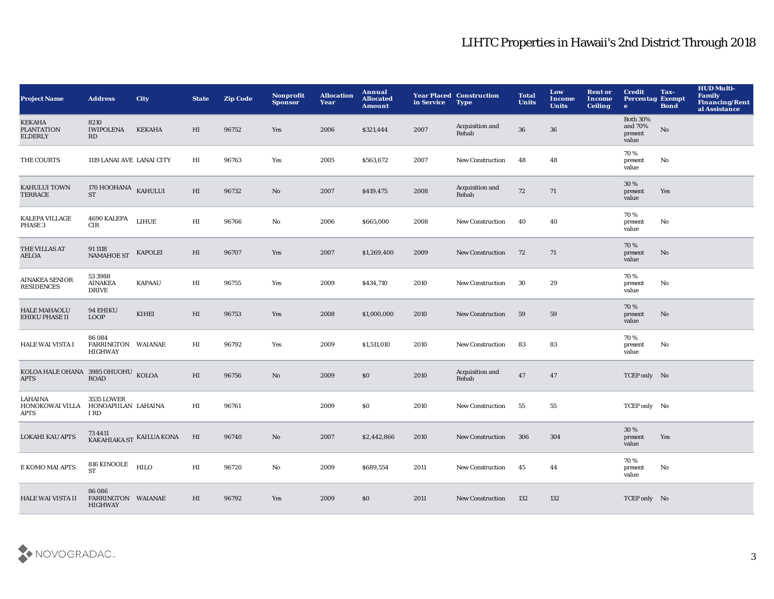| <b>Project Name</b>                                  | <b>Address</b>                                 | <b>City</b>              | <b>State</b> | <b>Zip Code</b> | Nonprofit<br><b>Sponsor</b> | <b>Allocation</b><br>Year | Annual<br><b>Allocated</b><br><b>Amount</b> | in Service | <b>Year Placed Construction</b><br><b>Type</b> | <b>Total</b><br><b>Units</b> | Low<br><b>Income</b><br><b>Units</b> | <b>Rent or</b><br>Income<br><b>Ceiling</b> | <b>Credit</b><br><b>Percentag Exempt</b><br>$\bullet$ | Tax-<br><b>Bond</b> | <b>HUD Multi-</b><br>Family<br><b>Financing/Rent</b><br>al Assistance |
|------------------------------------------------------|------------------------------------------------|--------------------------|--------------|-----------------|-----------------------------|---------------------------|---------------------------------------------|------------|------------------------------------------------|------------------------------|--------------------------------------|--------------------------------------------|-------------------------------------------------------|---------------------|-----------------------------------------------------------------------|
| <b>KEKAHA</b><br><b>PLANTATION</b><br><b>ELDERLY</b> | 8210<br><b>IWIPOLENA</b><br>RD                 | <b>KEKAHA</b>            | HI           | 96752           | Yes                         | 2006                      | \$321,444                                   | 2007       | Acquisition and<br>Rehab                       | 36                           | 36                                   |                                            | <b>Both 30%</b><br>and 70%<br>present<br>value        | $\mathbf {No}$      |                                                                       |
| THE COURTS                                           | 1119 LANAI AVE LANAI CITY                      |                          | HI           | 96763           | Yes                         | 2005                      | \$563,672                                   | 2007       | <b>New Construction</b>                        | 48                           | 48                                   |                                            | 70%<br>present<br>value                               | No                  |                                                                       |
| KAHULUI TOWN<br>TERRACE                              | 170 HOOHANA KAHULUI<br>ST                      |                          | HI           | 96732           | No                          | 2007                      | \$419,475                                   | 2008       | Acquisition and<br>Rehab                       | 72                           | 71                                   |                                            | 30%<br>present<br>value                               | Yes                 |                                                                       |
| KALEPA VILLAGE<br>PHASE <sub>3</sub>                 | 4690 KALEPA<br>CIR                             | <b>LIHUE</b>             | HI           | 96766           | No                          | 2006                      | \$665,000                                   | 2008       | <b>New Construction</b>                        | 40                           | 40                                   |                                            | 70%<br>present<br>value                               | No                  |                                                                       |
| THE VILLAS AT<br>AELOA                               | 91 1118<br><b>NAMAHOE ST</b>                   | KAPOLEI                  | HI           | 96707           | Yes                         | 2007                      | \$1,269,400                                 | 2009       | <b>New Construction</b>                        | 72                           | 71                                   |                                            | 70%<br>present<br>value                               | No                  |                                                                       |
| <b>AINAKEA SENIOR</b><br><b>RESIDENCES</b>           | 53 3988<br><b>AINAKEA</b><br><b>DRIVE</b>      | <b>KAPAAU</b>            | HI           | 96755           | Yes                         | 2009                      | \$434,710                                   | 2010       | <b>New Construction</b>                        | 30                           | 29                                   |                                            | 70%<br>present<br>value                               | No                  |                                                                       |
| <b>HALE MAHAOLU</b><br><b>EHIKU PHASE II</b>         | 94 EHIKU<br><b>LOOP</b>                        | <b>KIHEI</b>             | HI           | 96753           | Yes                         | 2008                      | \$1,000,000                                 | 2010       | <b>New Construction</b>                        | 59                           | 59                                   |                                            | 70%<br>present<br>value                               | No                  |                                                                       |
| HALE WAI VISTA I                                     | 86 084<br>FARRINGTON WAIANAE<br><b>HIGHWAY</b> |                          | HI           | 96792           | Yes                         | 2009                      | \$1,511,010                                 | 2010       | <b>New Construction</b>                        | 83                           | 83                                   |                                            | 70%<br>present<br>value                               | No                  |                                                                       |
| KOLOA HALE OHANA 3985 OHUOHU KOLOA<br><b>APTS</b>    | <b>ROAD</b>                                    |                          | HI           | 96756           | No                          | 2009                      | \$0                                         | 2010       | Acquisition and<br>Rehab                       | 47                           | 47                                   |                                            | TCEP only No                                          |                     |                                                                       |
| <b>LAHAINA</b><br>HONOKOWAI VILLA<br>APTS            | 3535 LOWER<br>HONOAPIILAN LAHAINA<br>I RD      |                          | HI           | 96761           |                             | 2009                      | \$0                                         | 2010       | <b>New Construction</b>                        | 55                           | 55                                   |                                            | TCEP only No                                          |                     |                                                                       |
| <b>LOKAHI KAU APTS</b>                               |                                                | KAKAHIAKA ST KAILUA KONA | HI           | 96740           | No                          | 2007                      | \$2,442,866                                 | 2010       | <b>New Construction</b>                        | 306                          | 304                                  |                                            | 30%<br>present<br>value                               | Yes                 |                                                                       |
| E KOMO MAI APTS                                      | 816 KINOOLE HILO<br><b>ST</b>                  |                          | $_{\rm HI}$  | 96720           | No                          | 2009                      | \$689,554                                   | 2011       | <b>New Construction</b>                        | 45                           | 44                                   |                                            | 70%<br>present<br>value                               | No                  |                                                                       |
| <b>HALE WAI VISTA II</b>                             | 86 086<br>FARRINGTON WAIANAE<br><b>HIGHWAY</b> |                          | HI           | 96792           | Yes                         | 2009                      | \$0                                         | 2011       | <b>New Construction</b>                        | 132                          | 132                                  |                                            | TCEP only No                                          |                     |                                                                       |

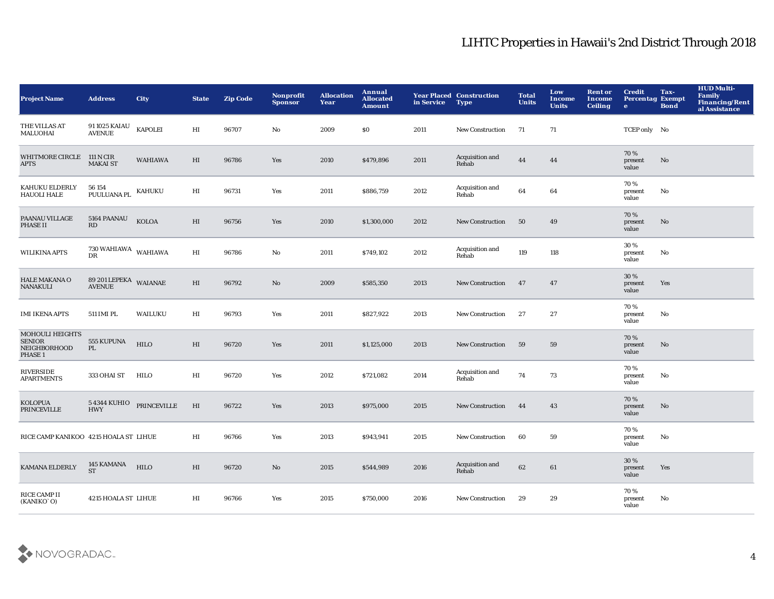| <b>Project Name</b>                                         | <b>Address</b>                         | <b>City</b>        | <b>State</b> | <b>Zip Code</b> | Nonprofit<br><b>Sponsor</b> | <b>Allocation</b><br>Year | Annual<br><b>Allocated</b><br><b>Amount</b> | in Service | <b>Year Placed Construction</b><br><b>Type</b> | <b>Total</b><br><b>Units</b> | Low<br><b>Income</b><br><b>Units</b> | <b>Rent or</b><br><b>Income</b><br><b>Ceiling</b> | <b>Credit</b><br><b>Percentag Exempt</b><br>$\bullet$ | Tax-<br><b>Bond</b> | <b>HUD Multi-</b><br>Family<br><b>Financing/Rent</b><br>al Assistance |
|-------------------------------------------------------------|----------------------------------------|--------------------|--------------|-----------------|-----------------------------|---------------------------|---------------------------------------------|------------|------------------------------------------------|------------------------------|--------------------------------------|---------------------------------------------------|-------------------------------------------------------|---------------------|-----------------------------------------------------------------------|
| THE VILLAS AT<br><b>MALUOHAI</b>                            | 91 1025 KAIAU<br><b>AVENUE</b>         | <b>KAPOLEI</b>     | HI           | 96707           | No                          | 2009                      | \$0                                         | 2011       | <b>New Construction</b>                        | 71                           | 71                                   |                                                   | TCEP only No                                          |                     |                                                                       |
| <b>WHITMORE CIRCLE</b><br><b>APTS</b>                       | 111 N CIR<br><b>MAKAI ST</b>           | <b>WAHIAWA</b>     | $_{\rm HI}$  | 96786           | Yes                         | 2010                      | \$479,896                                   | 2011       | Acquisition and<br>Rehab                       | 44                           | 44                                   |                                                   | 70%<br>present<br>value                               | No                  |                                                                       |
| KAHUKU ELDERLY<br><b>HAUOLI HALE</b>                        | 56 154<br>PUULUANA PL                  | <b>KAHUKU</b>      | HI           | 96731           | Yes                         | 2011                      | \$886,759                                   | 2012       | Acquisition and<br>Rehab                       | 64                           | 64                                   |                                                   | 70%<br>present<br>value                               | No                  |                                                                       |
| PAANAU VILLAGE<br>PHASE II                                  | 5164 PAANAU<br>RD                      | <b>KOLOA</b>       | HI           | 96756           | Yes                         | 2010                      | \$1,300,000                                 | 2012       | New Construction                               | 50                           | 49                                   |                                                   | 70%<br>present<br>value                               | No                  |                                                                       |
| <b>WILIKINA APTS</b>                                        | $730\,{\rm WAHIAWA}$ WAHIAWA DR        |                    | HI           | 96786           | No                          | 2011                      | \$749,102                                   | 2012       | Acquisition and<br>Rehab                       | 119                          | 118                                  |                                                   | 30 %<br>present<br>value                              | No                  |                                                                       |
| HALE MAKANA O<br><b>NANAKULI</b>                            | 89 201 LEPEKA WAIANAE<br><b>AVENUE</b> |                    | HI           | 96792           | No                          | 2009                      | \$585,350                                   | 2013       | New Construction                               | 47                           | 47                                   |                                                   | 30 %<br>present<br>value                              | Yes                 |                                                                       |
| <b>IMI IKENA APTS</b>                                       | 511 IMI PL                             | WAILUKU            | $_{\rm HI}$  | 96793           | Yes                         | 2011                      | \$827,922                                   | 2013       | <b>New Construction</b>                        | 27                           | 27                                   |                                                   | 70%<br>present<br>value                               | No                  |                                                                       |
| MOHOULI HEIGHTS<br><b>SENIOR</b><br>NEIGHBORHOOD<br>PHASE 1 | 555 KUPUNA<br>PL                       | <b>HILO</b>        | HI           | 96720           | Yes                         | 2011                      | \$1,125,000                                 | 2013       | New Construction                               | 59                           | 59                                   |                                                   | 70%<br>present<br>value                               | No                  |                                                                       |
| RIVERSIDE<br><b>APARTMENTS</b>                              | 333 OHAI ST                            | HILO               | $_{\rm HI}$  | 96720           | Yes                         | 2012                      | \$721,082                                   | 2014       | Acquisition and<br>Rehab                       | 74                           | 73                                   |                                                   | 70%<br>present<br>value                               | No                  |                                                                       |
| <b>KOLOPUA</b><br><b>PRINCEVILLE</b>                        | <b>5 4344 KUHIO</b><br><b>HWY</b>      | <b>PRINCEVILLE</b> | HI           | 96722           | Yes                         | 2013                      | \$975,000                                   | 2015       | <b>New Construction</b>                        | 44                           | 43                                   |                                                   | 70%<br>present<br>value                               | No                  |                                                                       |
| RICE CAMP KANIKOO 4215 HOALA ST LIHUE                       |                                        |                    | HI           | 96766           | Yes                         | 2013                      | \$943,941                                   | 2015       | <b>New Construction</b>                        | 60                           | 59                                   |                                                   | 70%<br>present<br>value                               | No                  |                                                                       |
| KAMANA ELDERLY                                              | 145 KAMANA<br><b>ST</b>                | <b>HILO</b>        | HI           | 96720           | No                          | 2015                      | \$544,989                                   | 2016       | Acquisition and<br>Rehab                       | 62                           | 61                                   |                                                   | 30 %<br>present<br>value                              | Yes                 |                                                                       |
| RICE CAMP II<br>(KANIKO`O)                                  | 4215 HOALA ST LIHUE                    |                    | HI           | 96766           | Yes                         | 2015                      | \$750,000                                   | 2016       | <b>New Construction</b>                        | 29                           | 29                                   |                                                   | 70%<br>present<br>value                               | No                  |                                                                       |